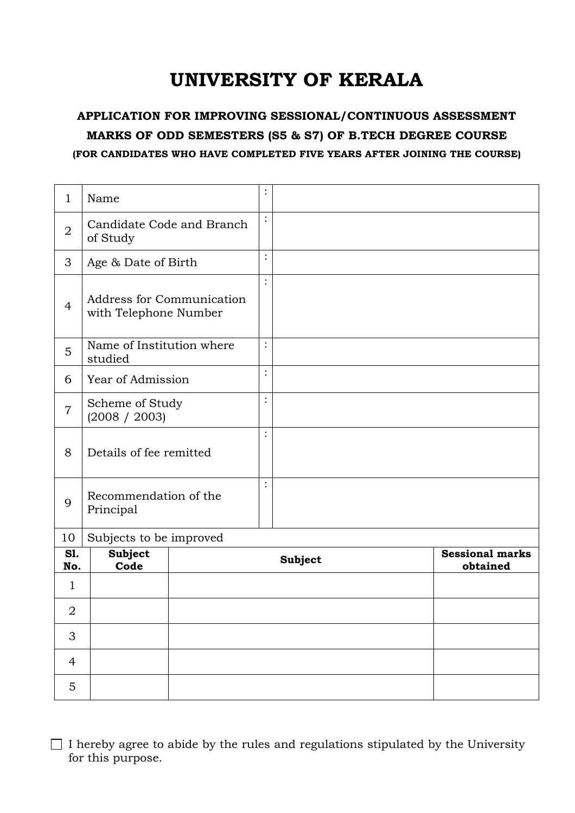## UNIVERSITY OF KERALA

## APPLICATION FOR IMPROVING SESSIONAL/CONTINUOUS ASSESSMENT MARKS OF ODD SEMESTERS (S5 & S7) OF B.TECH DEGREE COURSE (FOR CANDIDATES WHO HAVE COMPLETED FIVE YEARS AFTER JOINING THE COURSE)

| 1              | Name                                               |  | $\ddot{\cdot}$ |  |                                    |
|----------------|----------------------------------------------------|--|----------------|--|------------------------------------|
| $\overline{2}$ | $\colon$<br>Candidate Code and Branch<br>of Study  |  |                |  |                                    |
| 3              | Age & Date of Birth                                |  | $\vdots$       |  |                                    |
| $\overline{4}$ | Address for Communication<br>with Telephone Number |  | $\vdots$       |  |                                    |
| 5              | Name of Institution where<br>studied               |  | $\vdots$       |  |                                    |
| 6              | Year of Admission                                  |  | $\vdots$       |  |                                    |
| $\overline{7}$ | Scheme of Study<br>(2008 / 2003)                   |  | :              |  |                                    |
| 8              | Details of fee remitted                            |  | $\ddot{\cdot}$ |  |                                    |
| 9              | Recommendation of the<br>Principal                 |  | $\ddot{\cdot}$ |  |                                    |
| 10             | Subjects to be improved                            |  |                |  |                                    |
| S1.<br>No.     | <b>Subject</b><br>Code                             |  | <b>Subject</b> |  | <b>Sessional marks</b><br>obtained |
| 1              |                                                    |  |                |  |                                    |
| $\overline{2}$ |                                                    |  |                |  |                                    |
| 3              |                                                    |  |                |  |                                    |
| $\overline{4}$ |                                                    |  |                |  |                                    |
| $\overline{5}$ |                                                    |  |                |  |                                    |

 $\Box$  I hereby agree to abide by the rules and regulations stipulated by the University for this purpose.